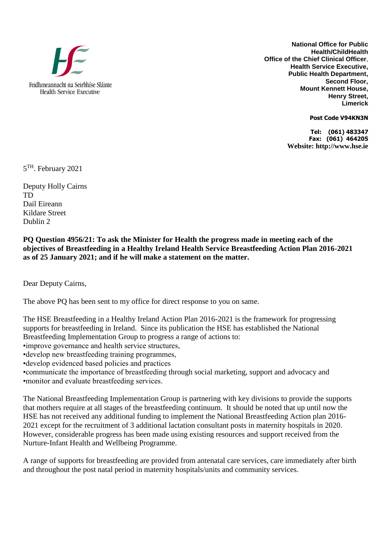

**National Office for Public Health/ChildHealth Office of the Chief Clinical Officer**, **Health Service Executive, Public Health Department, Second Floor, Mount Kennett House, Henry Street, Limerick** 

**Post Code V94KN3N**

**Tel: (061) 483347 Fax: (061) 464205 Website: http://www.hse.ie**

5<sup>TH</sup>. February 2021

Deputy Holly Cairns TD Dail Eireann Kildare Street Dublin 2

**PQ Question 4956/21: To ask the Minister for Health the progress made in meeting each of the objectives of Breastfeeding in a Healthy Ireland Health Service Breastfeeding Action Plan 2016-2021 as of 25 January 2021; and if he will make a statement on the matter.**

Dear Deputy Cairns,

The above PQ has been sent to my office for direct response to you on same.

The HSE Breastfeeding in a Healthy Ireland Action Plan 2016-2021 is the framework for progressing supports for breastfeeding in Ireland. Since its publication the HSE has established the National Breastfeeding Implementation Group to progress a range of actions to:

•improve governance and health service structures,

•develop new breastfeeding training programmes,

•develop evidenced based policies and practices

•communicate the importance of breastfeeding through social marketing, support and advocacy and •monitor and evaluate breastfeeding services.

The National Breastfeeding Implementation Group is partnering with key divisions to provide the supports that mothers require at all stages of the breastfeeding continuum. It should be noted that up until now the HSE has not received any additional funding to implement the National Breastfeeding Action plan 2016- 2021 except for the recruitment of 3 additional lactation consultant posts in maternity hospitals in 2020. However, considerable progress has been made using existing resources and support received from the Nurture-Infant Health and Wellbeing Programme.

A range of supports for breastfeeding are provided from antenatal care services, care immediately after birth and throughout the post natal period in maternity hospitals/units and community services.